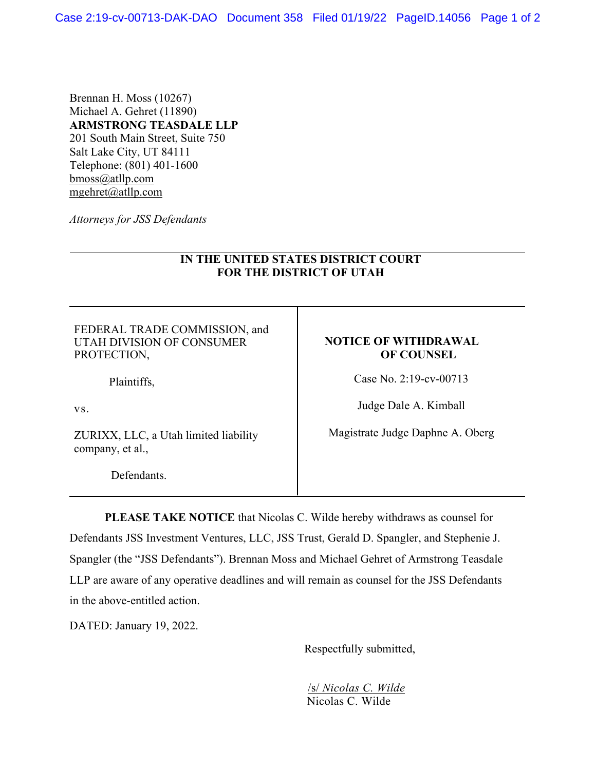Brennan H. Moss (10267) Michael A. Gehret (11890) **ARMSTRONG TEASDALE LLP**  201 South Main Street, Suite 750 Salt Lake City, UT 84111 Telephone: (801) 401-1600 bmoss@atllp.com mgehret@atllp.com

*Attorneys for JSS Defendants* 

## **IN THE UNITED STATES DISTRICT COURT FOR THE DISTRICT OF UTAH**

FEDERAL TRADE COMMISSION, and UTAH DIVISION OF CONSUMER PROTECTION,

Plaintiffs,

vs.

ZURIXX, LLC, a Utah limited liability company, et al.,

Defendants.

## **NOTICE OF WITHDRAWAL OF COUNSEL**

Case No. 2:19-cv-00713

Judge Dale A. Kimball

Magistrate Judge Daphne A. Oberg

**PLEASE TAKE NOTICE** that Nicolas C. Wilde hereby withdraws as counsel for Defendants JSS Investment Ventures, LLC, JSS Trust, Gerald D. Spangler, and Stephenie J. Spangler (the "JSS Defendants"). Brennan Moss and Michael Gehret of Armstrong Teasdale LLP are aware of any operative deadlines and will remain as counsel for the JSS Defendants in the above-entitled action.

DATED: January 19, 2022.

Respectfully submitted,

/s/ *Nicolas C. Wilde*  Nicolas C. Wilde